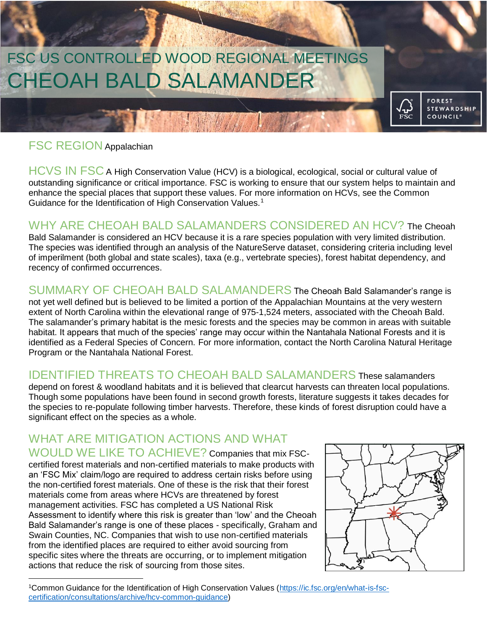# William FSC US CONTROLLED WOOD REGIONAL MEETINGSCHEOAH BALD SALAMANDER

### FSC REGION Appalachian

HCVS IN FSC A High Conservation Value (HCV) is a biological, ecological, social or cultural value of outstanding significance or critical importance. FSC is working to ensure that our system helps to maintain and enhance the special places that support these values. For more information on HCVs, see the Common Guidance for the Identification of High Conservation Values.<sup>1</sup>

MARTIN

### WHY ARE CHEOAH BALD SALAMANDERS CONSIDERED AN HCV? The Cheoah

Bald Salamander is considered an HCV because it is a rare species population with very limited distribution. The species was identified through an analysis of the NatureServe dataset, considering criteria including level of imperilment (both global and state scales), taxa (e.g., vertebrate species), forest habitat dependency, and recency of confirmed occurrences.

SUMMARY OF CHEOAH BALD SALAMANDERS The Cheoah Bald Salamander's range is not yet well defined but is believed to be limited a portion of the Appalachian Mountains at the very western extent of North Carolina within the elevational range of 975-1,524 meters, associated with the Cheoah Bald. The salamander's primary habitat is the mesic forests and the species may be common in areas with suitable habitat. It appears that much of the species' range may occur within the Nantahala National Forests and it is identified as a Federal Species of Concern. For more information, contact the North Carolina Natural Heritage Program or the Nantahala National Forest.

### IDENTIFIED THREATS TO CHEOAH BALD SALAMANDERS These salamanders

depend on forest & woodland habitats and it is believed that clearcut harvests can threaten local populations. Though some populations have been found in second growth forests, literature suggests it takes decades for the species to re-populate following timber harvests. Therefore, these kinds of forest disruption could have a significant effect on the species as a whole.

#### WHAT ARE MITIGATION ACTIONS AND WHAT WOULD WE LIKE TO ACHIEVE? Companies that mix FSC-

certified forest materials and non-certified materials to make products with an 'FSC Mix' claim/logo are required to address certain risks before using the non-certified forest materials. One of these is the risk that their forest materials come from areas where HCVs are threatened by forest management activities. FSC has completed a US National Risk Assessment to identify where this risk is greater than 'low' and the Cheoah Bald Salamander's range is one of these places - specifically, Graham and Swain Counties, NC. Companies that wish to use non-certified materials from the identified places are required to either avoid sourcing from specific sites where the threats are occurring, or to implement mitigation actions that reduce the risk of sourcing from those sites.



**FOREST** 

**STEWARDSHIP COUNCIL®** 

 $\sqrt{\frac{1}{2}}$ 

 $\overline{a}$ 1Common Guidance for the Identification of High Conservation Values [\(https://ic.fsc.org/en/what-is-fsc](https://ic.fsc.org/en/what-is-fsc-certification/consultations/archive/hcv-common-guidance)[certification/consultations/archive/hcv-common-guidance\)](https://ic.fsc.org/en/what-is-fsc-certification/consultations/archive/hcv-common-guidance)